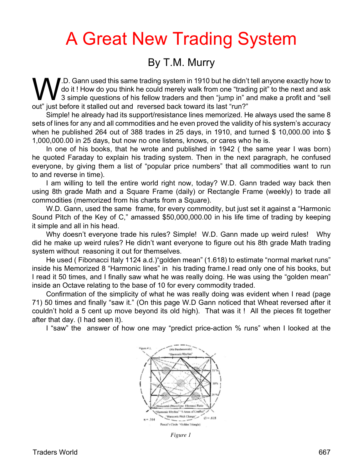## A Great New Trading System

## By T.M. Murry

W.D. Gann used this same trading system in 1910 but he didn't tell anyone exactly how to do it ! How do you think he could merely walk from one "trading pit" to the next and ask 3 simple questions of his fellow traders and then "jump in" and make a profit and "sell out" just before it stalled out and reversed back toward its last "run?"

Simple! he already had its support/resistance lines memorized. He always used the same 8 sets of lines for any and all commodities and he even proved the validity of his system's accuracy when he published 264 out of 388 trades in 25 days, in 1910, and turned \$ 10,000.00 into \$ 1,000,000.00 in 25 days, but now no one listens, knows, or cares who he is.

In one of his books, that he wrote and published in 1942 ( the same year I was born) he quoted Faraday to explain his trading system. Then in the next paragraph, he confused everyone, by giving them a list of "popular price numbers" that all commodities want to run to and reverse in time).

I am willing to tell the entire world right now, today? W.D. Gann traded way back then using 8th grade Math and a Square Frame (daily) or Rectangle Frame (weekly) to trade all commodities (memorized from his charts from a Square).

W.D. Gann, used the same frame, for every commodity, but just set it against a "Harmonic Sound Pitch of the Key of C," amassed \$50,000,000.00 in his life time of trading by keeping it simple and all in his head.

Why doesn't everyone trade his rules? Simple! W.D. Gann made up weird rules! Why did he make up weird rules? He didn't want everyone to figure out his 8th grade Math trading system without reasoning it out for themselves.

He used ( Fibonacci Italy 1124 a.d.)"golden mean" (1.618) to estimate "normal market runs" inside his Memorized 8 "Harmonic lines" in his trading frame.I read only one of his books, but I read it 50 times, and I finally saw what he was really doing. He was using the "golden mean" inside an Octave relating to the base of 10 for every commodity traded.

Confirmation of the simplicity of what he was really doing was evident when I read (page 71) 50 times and finally "saw it." (On this page W.D Gann noticed that Wheat reversed after it couldn't hold a 5 cent up move beyond its old high). That was it ! All the pieces fit together after that day. (I had seen it).

I "saw" the answer of how one may "predict price-action % runs" when I looked at the



*Figure 1*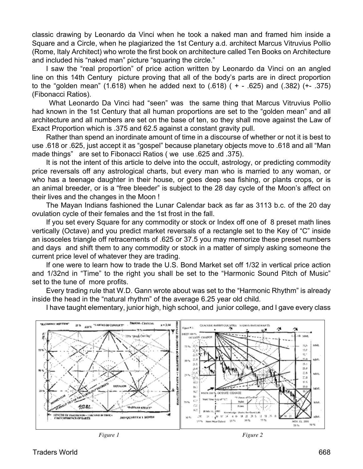classic drawing by Leonardo da Vinci when he took a naked man and framed him inside a Square and a Circle, when he plagiarized the 1st Century a.d. architect Marcus Vitruvius Pollio (Rome, Italy Architect) who wrote the first book on architecture called Ten Books on Architecture and included his "naked man" picture "squaring the circle."

I saw the "real proportion" of price action written by Leonardo da Vinci on an angled line on this 14th Century picture proving that all of the body's parts are in direct proportion to the "golden mean" (1.618) when he added next to (.618) ( + - .625) and (.382) (+- .375) (Fibonacci Ratios).

 What Leonardo Da Vinci had "seen" was the same thing that Marcus Vitruvius Pollio had known in the 1st Century that all human proportions are set to the "golden mean" and all architecture and all numbers are set on the base of ten, so they shall move against the Law of Exact Proportion which is .375 and 62.5 against a constant gravity pull.

Rather than spend an inordinate amount of time in a discourse of whether or not it is best to use .618 or .625, just accept it as "gospel" because planetary objects move to .618 and all "Man made things" are set to Fibonacci Ratios ( we use .625 and .375).

It is not the intent of this article to delve into the occult, astrology, or predicting commodity price reversals off any astrological charts, but every man who is married to any woman, or who has a teenage daughter in their house, or goes deep sea fishing, or plants crops, or is an animal breeder, or is a "free bleeder" is subject to the 28 day cycle of the Moon's affect on their lives and the changes in the Moon !

The Mayan Indians fashioned the Lunar Calendar back as far as 3113 b.c. of the 20 day ovulation cycle of their females and the 1st frost in the fall.

If you set every Square for any commodity or stock or Index off one of 8 preset math lines vertically (Octave) and you predict market reversals of a rectangle set to the Key of "C" inside an isosceles triangle off retracements of .625 or 37.5 you may memorize these preset numbers and days and shift them to any commodity or stock in a matter of simply asking someone the current price level of whatever they are trading.

If one were to learn how to trade the U.S. Bond Market set off 1/32 in vertical price action and 1/32nd in "Time" to the right you shall be set to the "Harmonic Sound Pitch of Music" set to the tune of more profits.

Every trading rule that W.D. Gann wrote about was set to the "Harmonic Rhythm" is already inside the head in the "natural rhythm" of the average 6.25 year old child.

I have taught elementary, junior high, high school, and junior college, and I gave every class



*Figure 1 Figure 2*

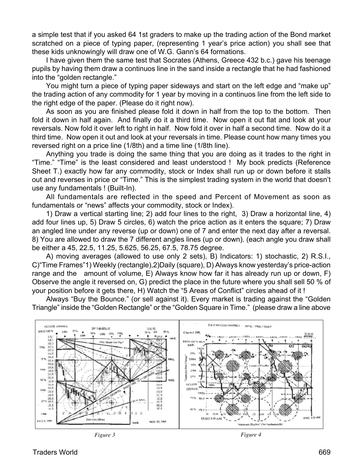a simple test that if you asked 64 1st graders to make up the trading action of the Bond market scratched on a piece of typing paper, (representing 1 year's price action) you shall see that these kids unknowingly will draw one of W.G. Gann's 64 formations.

I have given them the same test that Socrates (Athens, Greece 432 b.c.) gave his teenage pupils by having them draw a continuos line in the sand inside a rectangle that he had fashioned into the "golden rectangle."

You might turn a piece of typing paper sideways and start on the left edge and "make up" the trading action of any commodity for 1 year by moving in a continuos line from the left side to the right edge of the paper. (Please do it right now).

As soon as you are finished please fold it down in half from the top to the bottom. Then fold it down in half again. And finally do it a third time. Now open it out flat and look at your reversals. Now fold it over left to right in half. Now fold it over in half a second time. Now do it a third time. Now open it out and look at your reversals in time. Please count how many times you reversed right on a price line (1/8th) and a time line (1/8th line).

Anything you trade is doing the same thing that you are doing as it trades to the right in "Time." "Time" is the least considered and least understood ! My book predicts (Reference Sheet T.) exactly how far any commodity, stock or Index shall run up or down before it stalls out and reverses in price or "Time." This is the simplest trading system in the world that doesn't use any fundamentals ! (Built-In).

All fundamentals are reflected in the speed and Percent of Movement as soon as fundamentals or "news" affects your commodity, stock or Index).

1) Draw a vertical starting line; 2) add four lines to the right, 3) Draw a horizontal line, 4) add four lines up, 5) Draw 5 circles, 6) watch the price action as it enters the square; 7) Draw an angled line under any reverse (up or down) one of 7 and enter the next day after a reversal. 8) You are allowed to draw the 7 different angles lines (up or down). (each angle you draw shall be either a 45, 22.5, 11.25, 5.625, 56.25, 67.5, 78.75 degree.

A) moving averages (allowed to use only 2 sets), B) Indicators: 1) stochastic, 2) R.S.I., C)"Time Frames"1) Weekly (rectangle),2)Daily (square), D) Always know yesterday's price-action range and the amount of volume, E) Always know how far it has already run up or down, F) Observe the angle it reversed on, G) predict the place in the future where you shall sell 50 % of your position before it gets there, H) Watch the "5 Areas of Conflict" circles ahead of it !

Always "Buy the Bounce." (or sell against it). Every market is trading against the "Golden Triangle" inside the "Golden Rectangle" or the "Golden Square in Time." (please draw a line above



*Figure 3 Figure 4*

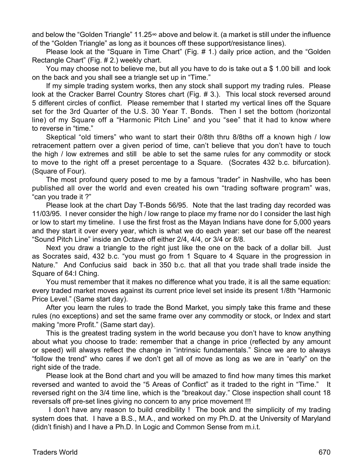and below the "Golden Triangle" 11.25 $\infty$  above and below it. (a market is still under the influence of the "Golden Triangle" as long as it bounces off these support/resistance lines).

Please look at the "Square in Time Chart" (Fig. # 1.) daily price action, and the "Golden Rectangle Chart" (Fig. # 2.) weekly chart.

You may choose not to believe me, but all you have to do is take out a \$ 1.00 bill and look on the back and you shall see a triangle set up in "Time."

If my simple trading system works, then any stock shall support my trading rules. Please look at the Cracker Barrel Country Stores chart (Fig. # 3.). This local stock reversed around 5 different circles of conflict. Please remember that I started my vertical lines off the Square set for the 3rd Quarter of the U.S. 30 Year T. Bonds. Then I set the bottom (horizontal line) of my Square off a "Harmonic Pitch Line" and you "see" that it had to know where to reverse in "time."

Skeptical "old timers" who want to start their 0/8th thru 8/8ths off a known high / low retracement pattern over a given period of time, can't believe that you don't have to touch the high / low extremes and still be able to set the same rules for any commodity or stock to move to the right off a preset percentage to a Square. (Socrates 432 b.c. bifurcation). (Square of Four).

The most profound query posed to me by a famous "trader" in Nashville, who has been published all over the world and even created his own "trading software program" was, "can you trade it ?"

Please look at the chart Day T-Bonds 56/95. Note that the last trading day recorded was 11/03/95. I never consider the high / low range to place my frame nor do I consider the last high or low to start my timeline. I use the first frost as the Mayan Indians have done for  $5,000$  years and they start it over every year, which is what we do each year: set our base off the nearest "Sound Pitch Line" inside an Octave off either 2/4, 4/4, or 3/4 or 8/8.

Next you draw a triangle to the right just like the one on the back of a dollar bill. Just as Socrates said, 432 b.c. "you must go from 1 Square to 4 Square in the progression in Nature." And Confucius said back in 350 b.c. that all that you trade shall trade inside the Square of 64:I Ching.

You must remember that it makes no difference what you trade, it is all the same equation: every traded market moves against its current price level set inside its present 1/8th "Harmonic Price Level." (Same start day).

After you learn the rules to trade the Bond Market, you simply take this frame and these rules (no exceptions) and set the same frame over any commodity or stock, or Index and start making "more Profit." (Same start day).

This is the greatest trading system in the world because you don't have to know anything about what you choose to trade: remember that a change in price (reflected by any amount or speed) will always reflect the change in "intrinsic fundamentals." Since we are to always "follow the trend" who cares if we don't get all of move as long as we are in "early" on the right side of the trade.

Please look at the Bond chart and you will be amazed to find how many times this market reversed and wanted to avoid the "5 Areas of Conflict" as it traded to the right in "Time." It reversed right on the 3/4 time line, which is the "breakout day." Close inspection shall count 18 reversals off pre-set lines giving no concern to any price movement !!!

I don't have any reason to build credibility ! The book and the simplicity of my trading system does that. I have a B.S., M.A., and worked on my Ph.D. at the University of Maryland (didn't finish) and I have a Ph.D. In Logic and Common Sense from m.i.t.